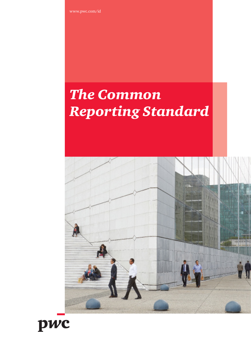www.pwc.com/id

# *The Common Reporting Standard*



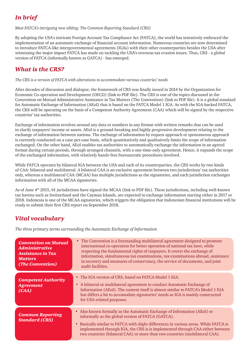## *In brief*

*Meet FATCA's intriguing new sibling: The Common Reporting Standard (CRS)*

By adopting the USA's intricate Foreign Account Tax Compliance Act (FATCA), the world has tentatively embraced the implementation of an automatic exchange of financial account information. Numerous countries are now determined to introduce FATCA-like intergovernmental agreements (IGAs) with their other counterparties besides the USA after witnessing the major impact FATCA has made on tackling the USA's overseas tax evasion issues. Thus, CRS - a global version of FATCA (informally known as GATCA) - has emerged.

## *What is the CRS?*

*The CRS is a version of FATCA with alterations to accommodate various countries' needs*

After decades of discussion and dialogue, the framework of CRS was finally issued in 2014 by the Organization for Economic Co-operation and Development (OECD) [\(link to PDF file](http://www.oecd.org/ctp/exchange-of-tax-information/automatic-exchange-financial-account-information-common-reporting-standard.pdf)). The CRS is one of the topics discussed in the Convention on Mutual Administrative Assistance in Tax Matters (The Convention) ([link to PDF file\)](http://www.oecd.org/ctp/exchange-of-tax-information/ENG_Convention_Flyer.pdf). It is a global standard for Automatic Exchange of Information (AEoI) that is based on the FATCA Model 1 IGA. As with the IGA-backed FATCA, the CRS will be operating on the basis of a Competent Authority Agreement (CAA) which will be signed by the respective countries' tax authorities.

Exchange of information revolves around any data or numbers in any format with written remarks that can be used to clarify taxpayers' income or assets. AEoI is a ground-breaking and highly progressive development relating to the exchange of information between nations. The exchange of information by request approach or spontaneous approach is currently conducted on a case-per-case basis, which quantitatively and qualitatively limits the scope of information exchanged. On the other hand, AEoI enables tax authorities to automatically exchange the information in an agreed format during certain periods, through arranged channels, with a one-time-only agreement. Hence, it expands the scope of the exchanged information, with relatively hassle-free bureaucratic procedures involved.

While FATCA operates by bilateral IGA between the USA and each of its counterparties, the CRS works by two kinds of CAA: bilateral and multilateral. A bilateral CAA is an exclusive agreement between two jurisdictions' tax authorities only, whereas a multilateral CAA (MCAA) has multiple jurisdictions as the signatories, and each jurisdiction exchanges information with all of the MCAA signatories.

As of June 4th 2015, 61 jurisdictions have signed the MCAA ([link to PDF file\)](http://www.oecd.org/tax/exchange-of-tax-information/MCAA-Signatories.pdf). These jurisdictions, including well-known tax havens such as Switzerland and the Cayman Islands, are expected to exchange information starting either in 2017 or 2018. Indonesia is one of the MCAA signatories, which triggers the obligation that Indonesian financial institutions will be ready to submit their first CRS report on September 2018.

### *Vital vocabulary*

*The three primary terms surrounding the Automatic Exchange of Information*

| <b>Convention on Mutual</b><br><b>Administrative</b><br><b>Assistance in Tax</b><br><b>Matters</b><br>(The Convention) | • The Convention is a freestanding multilateral agreement designed to promote<br>international co-operation for better operation of national tax laws, while<br>respecting the fundamental rights of taxpayers. It covers the exchange of<br>information, simultaneous tax examinations, tax examinations abroad, assistance<br>in recovery and measures of conservancy, the service of documents, and joint<br>audit facilities. |
|------------------------------------------------------------------------------------------------------------------------|-----------------------------------------------------------------------------------------------------------------------------------------------------------------------------------------------------------------------------------------------------------------------------------------------------------------------------------------------------------------------------------------------------------------------------------|
| <b>Competent Authority</b><br><b>Agreement</b><br>(CAA)                                                                | • The IGA version of CRS, based on FATCA Model 1 IGA.<br>• A bilateral or multilateral agreement to conduct Automatic Exchange of<br>Information (AEoI). The content itself is almost similar to FATCA's Model 1 IGA<br>but differs a bit to accomodate signatories' needs as IGA is mainly constructed<br>for USA-related purposes.                                                                                              |
| <b>Common Reporting</b><br><b>Standard (CRS)</b>                                                                       | • Also known formally as the Automatic Exchange of Information (AEoI) or<br>informally as the global version of FATCA (GATCA).<br>• Basically similar to FATCA with slight differences in various areas. While FATCA is<br>implemented through IGA, the CRS is is implemented through CAA either between<br>two countries (bilateral CAA) or more than two countries (multilateral CAA).                                          |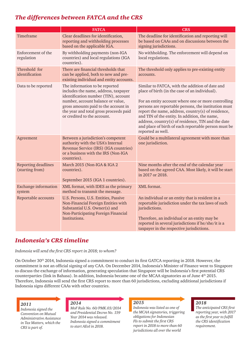## *The differences between FATCA and the CRS*

|                                        | <b>FATCA</b>                                                                                                                                                                                                                                                         | <b>CRS</b>                                                                                                                                                                                                                                                                                                                                                                                                                                                 |
|----------------------------------------|----------------------------------------------------------------------------------------------------------------------------------------------------------------------------------------------------------------------------------------------------------------------|------------------------------------------------------------------------------------------------------------------------------------------------------------------------------------------------------------------------------------------------------------------------------------------------------------------------------------------------------------------------------------------------------------------------------------------------------------|
| Timeframe                              | Clear deadlines for identification,<br>reporting and withholding processes<br>based on the applicable IGA.                                                                                                                                                           | The deadline for identification and reporting will<br>be based on CAAs and on discussions between the<br>signing jurisdictions.                                                                                                                                                                                                                                                                                                                            |
| Enforcement of the<br>regulation       | By withholding payments (non-IGA<br>countries) and local regulations (IGA<br>countries).                                                                                                                                                                             | No withholding. The enforcement will depend on<br>local regulations.                                                                                                                                                                                                                                                                                                                                                                                       |
| Threshold for<br>identification        | There are financial thresholds that<br>can be applied, both to new and pre-<br>existing individual and entity accounts.                                                                                                                                              | The threshold only applies to pre-existing entity<br>accounts.                                                                                                                                                                                                                                                                                                                                                                                             |
| Data to be reported                    | The information to be reported<br>includes the name, address, taxpayer<br>identification number (TIN), account<br>number, account balance or value,<br>gross amounts paid to the account in<br>the year and total gross proceeds paid<br>or credited to the account. | Similar to FATCA, with the addition of date and<br>place of birth (in the case of an individual).<br>For an entity account where one or more controlling<br>persons are reportable persons, the institution must<br>report the name, address, country(s) of residence,<br>and TIN of the entity. In addition, the name,<br>address, country(s) of residence, TIN and the date<br>and place of birth of each reportable person must be<br>reported as well. |
| Agreement                              | Between a jurisdiction's competent<br>authority with the USA's Internal<br>Revenue Service (IRS) (IGA countries)<br>or a business with the IRS (Non-IGA<br>countries).                                                                                               | Could be a multilateral agreement with more than<br>one jurisdiction.                                                                                                                                                                                                                                                                                                                                                                                      |
| Reporting deadlines<br>(starting from) | March 2015 (Non-IGA & IGA 2<br>countries).<br>September 2015 (IGA 1 countries).                                                                                                                                                                                      | Nine months after the end of the calendar year<br>based on the agreed CAA. Most likely, it will be start<br>in 2017 or 2018.                                                                                                                                                                                                                                                                                                                               |
| <b>Exchange information</b><br>system  | XML format, with IDES as the primary<br>method to transmit the message.                                                                                                                                                                                              | XML format.                                                                                                                                                                                                                                                                                                                                                                                                                                                |
| Reportable accounts                    | U.S. Persons, U.S. Entities, Passive<br>Non-Financial Foreign Entities with<br>Substantial U.S. Owner(s) and<br>Non-Participating Foreign Financial<br>Institutions.                                                                                                 | An individual or an entity that is resident in a<br>reportable jurisdiction under the tax laws of such<br>jurisdictions.<br>Therefore, an individual or an entity may be<br>reported in several jurisdictions if he/she/it is a<br>taxpayer in the respective jurisdictions.                                                                                                                                                                               |

## *Indonesia's CRS timeline*

*Indonesia will send the first CRS report in 2018; to whom?*

On October 30th 2014, Indonesia signed a commitment to conduct its first GATCA reporting in 2018. However, the commitment is not an official signing of any CAA. On December 2014, Indonesia's Minister of Finance went to Singapore to discuss the exchange of information, generating speculation that Singapore will be Indonesia's first potential CRS counterparties [\(link in Bahasa\)](http://www.kemenkeu.go.id/SP/pertemuan-menteri-keuangan-indonesia-dengan-menteri-keuangan-singapura-di-singapura-peningkatan). In addition, Indonesia became one of the MCAA signatories as of June 4th 2015. Therefore, Indonesia will send the first CRS report to more than 60 jurisdictions, excluding additional jurisdictions if Indonesia signs different CAAs with other countries.

#### *2011*

*Indonesia signed the Convention on Mutual Administrative Assistance in Tax Matters, which the CRS is part of.* 

#### *2014*

*MoF Rule No. 60/PMK.03/2014 and Presidential Decree No. 159 Year 2014 was released. Indonesia signed a commitment to start AEoI in 2018.*

#### *2015*

*Indonesia was listed as one of the MCAA signatories, triggering obligations for Indonesian FIs to submit the first CRS report in 2018 to more than 60 jurisdictions all over the world*

#### *2018*

*The anticipated CRS first reporting year, with 2017 as the first year to fulfill the CRS identification requirement.*